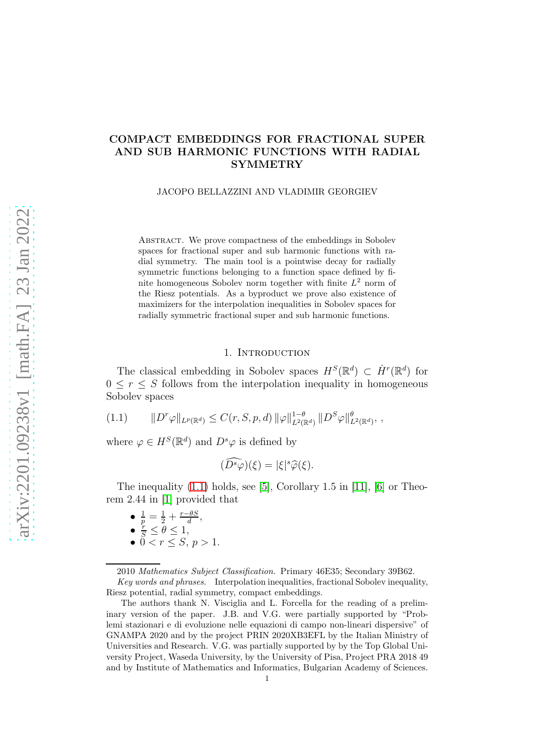# COMPACT EMBEDDINGS FOR FRACTIONAL SUPER AND SUB HARMONIC FUNCTIONS WITH RADIAL SYMMETRY

JACOPO BELLAZZINI AND VLADIMIR GEORGIEV

ABSTRACT. We prove compactness of the embeddings in Sobolev spaces for fractional super and sub harmonic functions with radial symmetry. The main tool is a pointwise decay for radially symmetric functions belonging to a function space defined by finite homogeneous Sobolev norm together with finite  $L^2$  norm of the Riesz potentials. As a byproduct we prove also existence of maximizers for the interpolation inequalities in Sobolev spaces for radially symmetric fractional super and sub harmonic functions.

#### 1. INTRODUCTION

The classical embedding in Sobolev spaces  $H<sup>S</sup>(\mathbb{R}^d) \subset \dot{H}<sup>r</sup>(\mathbb{R}^d)$  for  $0 \leq r \leq S$  follows from the interpolation inequality in homogeneous Sobolev spaces

<span id="page-0-0"></span> $(1.1)$  $\|r\varphi\|_{L^p(\mathbb{R}^d)} \leq C(r, S, p, d) \|\varphi\|_{L^2(\mathbb{R}^d)}^{1-\theta} \|D^S\varphi\|_{L^2(\mathbb{R}^d)}^{\theta},$ 

where  $\varphi \in H^S(\mathbb{R}^d)$  and  $D^s \varphi$  is defined by

$$
(\tilde{D}^s \tilde{\varphi})(\xi) = |\xi|^s \hat{\varphi}(\xi).
$$

The inequality  $(1.1)$  holds, see [\[5\]](#page-19-0), Corollary 1.5 in [\[11\]](#page-19-1), [\[6\]](#page-19-2) or Theorem 2.44 in [\[1\]](#page-19-3) provided that

- $\bullet$   $\frac{1}{p} = \frac{1}{2} + \frac{r \theta S}{d}$  $\frac{\partial S}{\partial t}$ ,
- $\bullet$   $\frac{r}{S} \leq \theta \leq 1,$
- $0 < r \leq S, p > 1$ .

Key words and phrases. Interpolation inequalities, fractional Sobolev inequality, Riesz potential, radial symmetry, compact embeddings.

The authors thank N. Visciglia and L. Forcella for the reading of a preliminary version of the paper. J.B. and V.G. were partially supported by "Problemi stazionari e di evoluzione nelle equazioni di campo non-lineari dispersive" of GNAMPA 2020 and by the project PRIN 2020XB3EFL by the Italian Ministry of Universities and Research. V.G. was partially supported by by the Top Global University Project, Waseda University, by the University of Pisa, Project PRA 2018 49 and by Institute of Mathematics and Informatics, Bulgarian Academy of Sciences.

<sup>2010</sup> Mathematics Subject Classification. Primary 46E35; Secondary 39B62.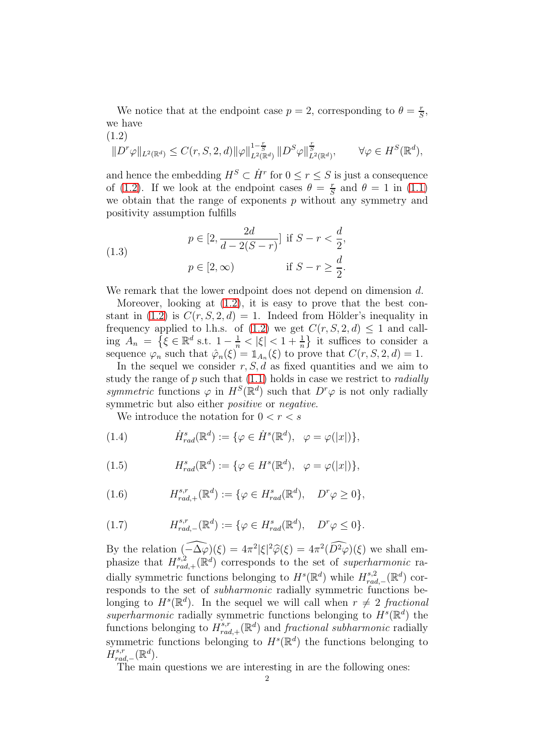We notice that at the endpoint case  $p = 2$ , corresponding to  $\theta = \frac{r}{5}$  $\frac{r}{S}$ we have  $(1.2)$ 

<span id="page-1-0"></span>
$$
||D^r\varphi||_{L^2(\mathbb{R}^d)} \leq C(r, S, 2, d) ||\varphi||_{L^2(\mathbb{R}^d)}^{1-\frac{r}{S}} ||D^S\varphi||_{L^2(\mathbb{R}^d)}^{\frac{r}{S}}, \qquad \forall \varphi \in H^S(\mathbb{R}^d),
$$

and hence the embedding  $H^S \subset \dot{H}^r$  for  $0 \le r \le S$  is just a consequence of [\(1.2\)](#page-1-0). If we look at the endpoint cases  $\theta = \frac{r}{s}$  $\frac{r}{S}$  and  $\theta = 1$  in [\(1.1\)](#page-0-0) we obtain that the range of exponents  $p$  without any symmetry and positivity assumption fulfills

(1.3) 
$$
p \in [2, \frac{2d}{d - 2(S - r)}] \text{ if } S - r < \frac{d}{2},
$$

$$
p \in [2, \infty) \quad \text{if } S - r \ge \frac{d}{2}.
$$

We remark that the lower endpoint does not depend on dimension d.

Moreover, looking at [\(1.2\)](#page-1-0), it is easy to prove that the best con-stant in [\(1.2\)](#page-1-0) is  $C(r, S, 2, d) = 1$ . Indeed from Hölder's inequality in frequency applied to l.h.s. of  $(1.2)$  we get  $C(r, S, 2, d) \leq 1$  and calling  $A_n = \{ \xi \in \mathbb{R}^d \text{ s.t. } 1 - \frac{1}{n} < |\xi| < 1 + \frac{1}{n} \}$  it suffices to consider a sequence  $\varphi_n$  such that  $\hat{\varphi}_n(\xi) = \mathbb{1}_{A_n}(\xi)$  to prove that  $C(r, S, 2, d) = 1$ .

In the sequel we consider  $r, S, d$  as fixed quantities and we aim to study the range of  $p$  such that  $(1.1)$  holds in case we restrict to *radially* symmetric functions  $\varphi$  in  $H^S(\mathbb{R}^d)$  such that  $D^r\varphi$  is not only radially symmetric but also either *positive* or *negative*.

We introduce the notation for  $0 < r < s$ 

(1.4) 
$$
\dot{H}^s_{rad}(\mathbb{R}^d) := \{ \varphi \in \dot{H}^s(\mathbb{R}^d), \ \varphi = \varphi(|x|) \},
$$

(1.5) 
$$
H_{rad}^s(\mathbb{R}^d) := \{ \varphi \in H^s(\mathbb{R}^d), \ \varphi = \varphi(|x|) \},
$$

(1.6) 
$$
H_{rad,+}^{s,r}(\mathbb{R}^d) := \{ \varphi \in H_{rad}^s(\mathbb{R}^d), \quad D^r \varphi \geq 0 \},
$$

(1.7) 
$$
H_{rad,-}^{s,r}(\mathbb{R}^d) := \{ \varphi \in H_{rad}^s(\mathbb{R}^d), \quad D^r \varphi \leq 0 \}.
$$

By the relation  $\widehat{(-\Delta\varphi)}(\xi) = 4\pi^2 |\xi|^2 \widehat{\varphi}(\xi) = 4\pi^2 (\widehat{D^2\varphi})(\xi)$  we shall emphasize that  $H_{rad}^{s,2}$  $r_{rad,+}^{s,2}(\mathbb{R}^d)$  corresponds to the set of superharmonic radially symmetric functions belonging to  $H^s(\mathbb{R}^d)$  while  $H_{rad}^{s,2}$  $_{rad,-}^{s,2}(\mathbb{R}^d)$  corresponds to the set of subharmonic radially symmetric functions belonging to  $H^s(\mathbb{R}^d)$ . In the sequel we will call when  $r \neq 2$  fractional superharmonic radially symmetric functions belonging to  $H^s(\mathbb{R}^d)$  the functions belonging to  $H^{s,r}_{rad}$  $r_{rad,+}^{s,r}(\mathbb{R}^d)$  and *fractional subharmonic* radially symmetric functions belonging to  $H^s(\mathbb{R}^d)$  the functions belonging to  $\dot{H}_{rad,-}^{s,r}(\mathbb{R}^d)$ .

The main questions we are interesting in are the following ones: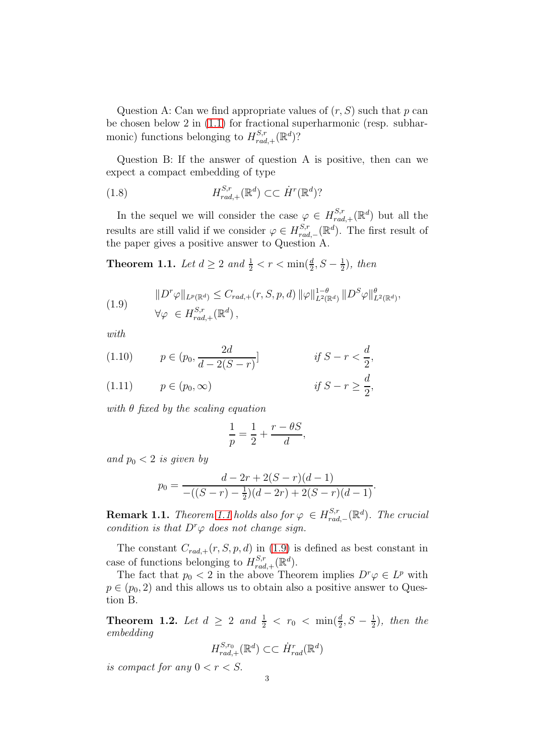Question A: Can we find appropriate values of  $(r, S)$  such that p can be chosen below 2 in [\(1.1\)](#page-0-0) for fractional superharmonic (resp. subharmonic) functions belonging to  $H_{rad}^{S,r}$  ${}_{rad,+}^{S,r}$  ( $\mathbb{R}^d$ )?

Question B: If the answer of question A is positive, then can we expect a compact embedding of type

(1.8) 
$$
H_{rad,+}^{S,r}(\mathbb{R}^d) \subset \subset \dot{H}^r(\mathbb{R}^d)?
$$

In the sequel we will consider the case  $\varphi \in H_{rad,+}^{S,r}(\mathbb{R}^d)$  but all the results are still valid if we consider  $\varphi \in H_{rad}^{S,r}$  ${}_{rad,-}^{S,r}$  (ℝ<sup>d</sup>). The first result of the paper gives a positive answer to Question A.

<span id="page-2-0"></span>**Theorem 1.1.** Let  $d \ge 2$  and  $\frac{1}{2} < r < \min(\frac{d}{2}, S - \frac{1}{2})$  $(\frac{1}{2})$ , then

<span id="page-2-1"></span>(1.9) 
$$
\|D^r \varphi\|_{L^p(\mathbb{R}^d)} \leq C_{rad,+}(r, S, p, d) \|\varphi\|_{L^2(\mathbb{R}^d)}^{1-\theta} \|D^S \varphi\|_{L^2(\mathbb{R}^d)}^{\theta},
$$
  

$$
\forall \varphi \in H_{rad,+}^{S,r}(\mathbb{R}^d),
$$

with

(1.10) 
$$
p \in (p_0, \frac{2d}{d-2(S-r)})
$$
 if  $S-r < \frac{d}{2}$ ,

$$
(1.11) \t p \in (p_0, \infty) \t \text{if } S - r \ge \frac{\alpha}{2},
$$

with  $\theta$  fixed by the scaling equation

$$
\frac{1}{p} = \frac{1}{2} + \frac{r - \theta S}{d},
$$

and  $p_0 < 2$  is given by

$$
p_0 = \frac{d - 2r + 2(S - r)(d - 1)}{-((S - r) - \frac{1}{2})(d - 2r) + 2(S - r)(d - 1)}.
$$

**Remark [1.1](#page-2-0).** Theorem 1.1 holds also for  $\varphi \in H^{S,r}_{rad}$  $\mathbb{F}_{rad,-}^{S,r}(\mathbb{R}^d)$ . The crucial condition is that  $D^r \varphi$  does not change sign.

The constant  $C_{rad,+}(r, S, p, d)$  in [\(1.9\)](#page-2-1) is defined as best constant in case of functions belonging to  $H_{rad}^{S,r}$  ${}_{rad,+}^{S,r}(\mathbb{R}^d)$ .

The fact that  $p_0 < 2$  in the above Theorem implies  $D^r \varphi \in L^p$  with  $p \in (p_0, 2)$  and this allows us to obtain also a positive answer to Question B.

<span id="page-2-2"></span>**Theorem 1.2.** Let  $d \geq 2$  and  $\frac{1}{2} < r_0 < \min(\frac{d}{2}, S - \frac{1}{2})$  $(\frac{1}{2})$ , then the embedding

$$
H_{rad,+}^{S,r_0}(\mathbb{R}^d) \subset \subset \dot{H}_{rad}^r(\mathbb{R}^d)
$$

is compact for any  $0 < r < S$ .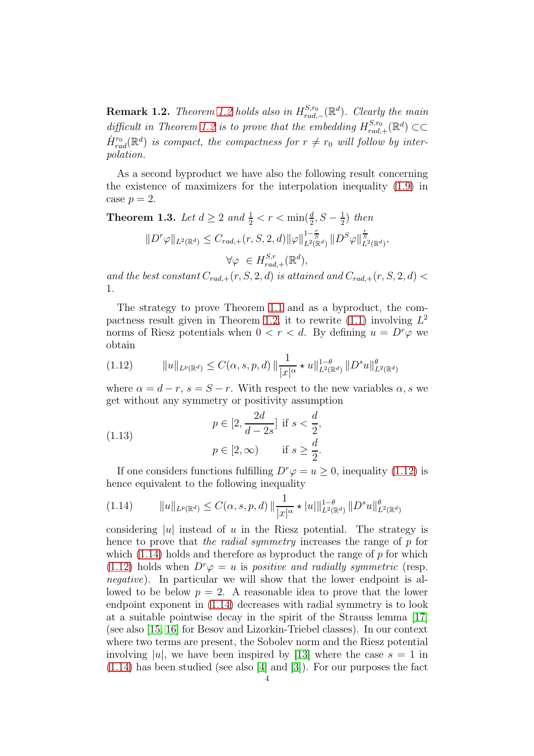**Remark [1.2](#page-2-2).** Theorem 1.2 holds also in  $H_{rad.}^{S,r_0}$  $_{rad,-}^{S,r_0}(\mathbb{R}^d)$ . Clearly the main difficult in Theorem [1.2](#page-2-2) is to prove that the embedding  $H_{rad}^{S,r_0}$  $\mathbb{E}_{rad,+}^{S,r_0}(\mathbb{R}^d) \subset\subset$  $\dot{H}^{r_0}_{rad}(\mathbb{R}^d)$  is compact, the compactness for  $r \neq r_0$  will follow by interpolation.

As a second byproduct we have also the following result concerning the existence of maximizers for the interpolation inequality [\(1.9\)](#page-2-1) in case  $p=2$ .

<span id="page-3-2"></span>**Theorem 1.3.** Let  $d \ge 2$  and  $\frac{1}{2} < r < \min(\frac{d}{2}, S - \frac{1}{2})$  $(\frac{1}{2})$  then  $||D^r\varphi||_{L^2(\mathbb{R}^d)} \leq C_{rad,+}(r, S, 2, d) ||\varphi||_{L^2(\mathbb{R}^d)}^{1-\frac{r}{S}} ||D^S\varphi||_{L^2(\mathbb{R}^d)}^{\frac{r}{S}},$  $\forall \varphi \ \in H^{S,r}_{rad}$  ${}_{rad,+}^{S,r}(\mathbb{R}^d)$ ,

and the best constant  $C_{rad,+}(r, S, 2, d)$  is attained and  $C_{rad,+}(r, S, 2, d)$ 1.

The strategy to prove Theorem [1.1](#page-2-0) and as a byproduct, the com-pactness result given in Theorem [1.2,](#page-2-2) it to rewrite  $(1.1)$  involving  $L^2$ norms of Riesz potentials when  $0 < r < d$ . By defining  $u = D^r \varphi$  we obtain

<span id="page-3-0"></span>
$$
(1.12) \t\t ||u||_{L^{p}(\mathbb{R}^{d})} \leq C(\alpha, s, p, d) \, ||\frac{1}{|x|^{\alpha}} \star u||_{L^{2}(\mathbb{R}^{d})}^{1-\theta} ||D^{s}u||_{L^{2}(\mathbb{R}^{d})}^{\theta}
$$

where  $\alpha = d - r$ ,  $s = S - r$ . With respect to the new variables  $\alpha$ , s we get without any symmetry or positivity assumption

(1.13) 
$$
p \in [2, \frac{2d}{d-2s}] \text{ if } s < \frac{d}{2},
$$

$$
p \in [2, \infty) \quad \text{if } s \ge \frac{d}{2}.
$$

If one considers functions fulfilling  $D^r \varphi = u \geq 0$ , inequality [\(1.12\)](#page-3-0) is hence equivalent to the following inequality

<span id="page-3-1"></span>
$$
(1.14) \t\t ||u||_{L^{p}(\mathbb{R}^{d})} \leq C(\alpha, s, p, d) \, ||\frac{1}{|x|^{\alpha}} \star |u||_{L^{2}(\mathbb{R}^{d})}^{1-\theta} \, ||D^{s}u||_{L^{2}(\mathbb{R}^{d})}^{\theta}
$$

considering |u| instead of u in the Riesz potential. The strategy is hence to prove that the radial symmetry increases the range of p for which  $(1.14)$  holds and therefore as byproduct the range of p for which [\(1.12\)](#page-3-0) holds when  $D^r \varphi = u$  is *positive and radially symmetric* (resp. negative). In particular we will show that the lower endpoint is allowed to be below  $p = 2$ . A reasonable idea to prove that the lower endpoint exponent in [\(1.14\)](#page-3-1) decreases with radial symmetry is to look at a suitable pointwise decay in the spirit of the Strauss lemma [\[17\]](#page-20-0) (see also [\[15,](#page-20-1) [16\]](#page-20-2) for Besov and Lizorkin-Triebel classes). In our context where two terms are present, the Sobolev norm and the Riesz potential involving |u|, we have been inspired by [\[13\]](#page-20-3) where the case  $s = 1$  in [\(1.14\)](#page-3-1) has been studied (see also [\[4\]](#page-19-4) and [\[3\]](#page-19-5)). For our purposes the fact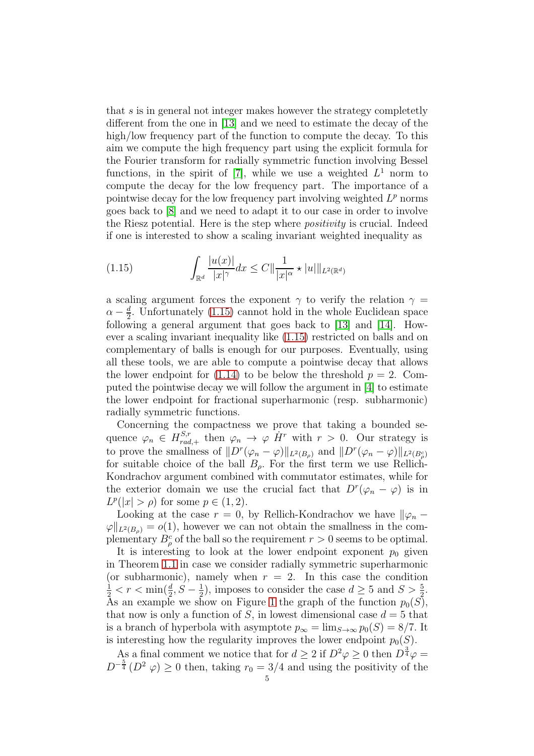that s is in general not integer makes however the strategy completetly different from the one in [\[13\]](#page-20-3) and we need to estimate the decay of the high/low frequency part of the function to compute the decay. To this aim we compute the high frequency part using the explicit formula for the Fourier transform for radially symmetric function involving Bessel functions, in the spirit of [\[7\]](#page-19-6), while we use a weighted  $L^1$  norm to compute the decay for the low frequency part. The importance of a pointwise decay for the low frequency part involving weighted  $L^p$  norms goes back to [\[8\]](#page-19-7) and we need to adapt it to our case in order to involve the Riesz potential. Here is the step where positivity is crucial. Indeed if one is interested to show a scaling invariant weighted inequality as

<span id="page-4-0"></span>(1.15) 
$$
\int_{\mathbb{R}^d} \frac{|u(x)|}{|x|^{\gamma}} dx \leq C ||\frac{1}{|x|^{\alpha}} \star |u||_{L^2(\mathbb{R}^d)}
$$

a scaling argument forces the exponent  $\gamma$  to verify the relation  $\gamma =$  $\alpha - \frac{d}{2}$  $\frac{d}{2}$ . Unfortunately [\(1.15\)](#page-4-0) cannot hold in the whole Euclidean space following a general argument that goes back to [\[13\]](#page-20-3) and [\[14\]](#page-20-4). However a scaling invariant inequality like [\(1.15\)](#page-4-0) restricted on balls and on complementary of balls is enough for our purposes. Eventually, using all these tools, we are able to compute a pointwise decay that allows the lower endpoint for [\(1.14\)](#page-3-1) to be below the threshold  $p = 2$ . Computed the pointwise decay we will follow the argument in [\[4\]](#page-19-4) to estimate the lower endpoint for fractional superharmonic (resp. subharmonic) radially symmetric functions.

Concerning the compactness we prove that taking a bounded sequence  $\varphi_n \in H_{rad}^{S,r}$  $\chi_{rad,+}^{S,r}$  then  $\varphi_n \to \varphi \dot{H}^r$  with  $r > 0$ . Our strategy is to prove the smallness of  $||D^r(\varphi_n - \varphi)||_{L^2(B_\rho)}$  and  $||D^r(\varphi_n - \varphi)||_{L^2(B_\rho^c)}$ for suitable choice of the ball  $B_{\rho}$ . For the first term we use Rellich-Kondrachov argument combined with commutator estimates, while for the exterior domain we use the crucial fact that  $D^r(\varphi_n - \varphi)$  is in  $L^p(|x| > \rho)$  for some  $p \in (1, 2)$ .

Looking at the case  $r = 0$ , by Rellich-Kondrachov we have  $\|\varphi_n - \varphi\|$  $\varphi\|_{L^2(B_0)} = o(1)$ , however we can not obtain the smallness in the complementary  $B_{\rho}^{c}$  of the ball so the requirement  $r > 0$  seems to be optimal.

It is interesting to look at the lower endpoint exponent  $p_0$  given in Theorem [1.1](#page-2-0) in case we consider radially symmetric superharmonic (or subharmonic), namely when  $r = 2$ . In this case the condition  $\frac{1}{2} < r < \min(\frac{d}{2}, S - \frac{1}{2})$  $(\frac{1}{2})$ , imposes to consider the case  $d \geq 5$  and  $S > \frac{5}{2}$ . As an example we show on Figure [1](#page-5-0) the graph of the function  $p_0(S)$ , that now is only a function of S, in lowest dimensional case  $d = 5$  that is a branch of hyperbola with asymptote  $p_{\infty} = \lim_{S \to \infty} p_0(S) = 8/7$ . It is interesting how the regularity improves the lower endpoint  $p_0(S)$ .

As a final comment we notice that for  $d \geq 2$  if  $D^2 \varphi \geq 0$  then  $D^{\frac{3}{4}} \varphi =$  $D^{-\frac{5}{4}}(D^2 \varphi) \geq 0$  then, taking  $r_0 = 3/4$  and using the positivity of the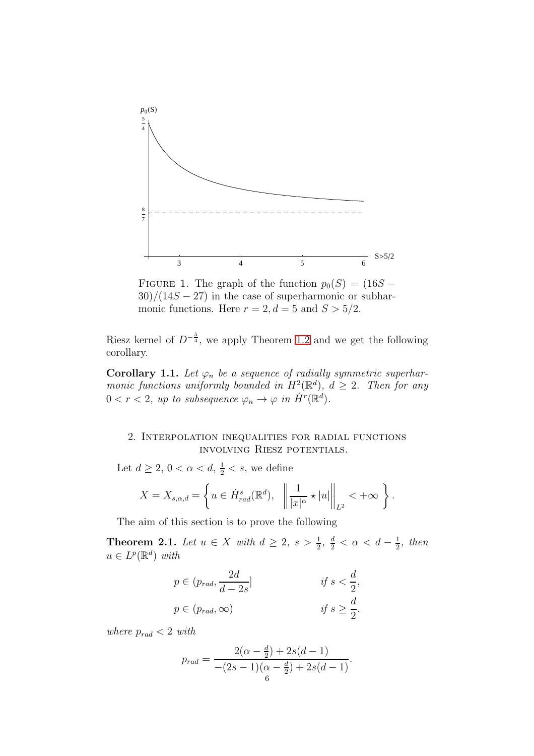

<span id="page-5-0"></span>FIGURE 1. The graph of the function  $p_0(S) = (16S 30)/(14S - 27)$  in the case of superharmonic or subharmonic functions. Here  $r = 2, d = 5$  and  $S > 5/2$ .

Riesz kernel of  $D^{-\frac{5}{4}}$ , we apply Theorem [1.2](#page-2-2) and we get the following corollary.

**Corollary 1.1.** Let  $\varphi_n$  be a sequence of radially symmetric superharmonic functions uniformly bounded in  $H^2(\mathbb{R}^d)$ ,  $d \geq 2$ . Then for any  $0 < r < 2$ , up to subsequence  $\varphi_n \to \varphi$  in  $\dot{H}^r(\mathbb{R}^d)$ .

## 2. Interpolation inequalities for radial functions involving Riesz potentials.

Let  $d \geq 2$ ,  $0 < \alpha < d$ ,  $\frac{1}{2} < s$ , we define

$$
X = X_{s,\alpha,d} = \left\{ u \in \dot{H}^s_{rad}(\mathbb{R}^d), \left\| \frac{1}{|x|^{\alpha}} \star |u| \right\|_{L^2} < +\infty \right\}.
$$

The aim of this section is to prove the following

<span id="page-5-1"></span>**Theorem 2.1.** Let  $u \in X$  with  $d \geq 2$ ,  $s > \frac{1}{2}$ ,  $\frac{d}{2} < \alpha < d - \frac{1}{2}$  $rac{1}{2}$ , then  $u \in L^p(\mathbb{R}^d)$  with

$$
p \in (p_{rad}, \frac{2d}{d-2s}]
$$
  
\n
$$
p \in (p_{rad}, \infty)
$$
  
\nif  $s \geq \frac{d}{2}$ ,  
\nif  $s \geq \frac{d}{2}$ .

where  $p_{rad} < 2$  with

$$
p_{rad} = \frac{2(\alpha - \frac{d}{2}) + 2s(d - 1)}{-(2s - 1)(\alpha - \frac{d}{2}) + 2s(d - 1)}.
$$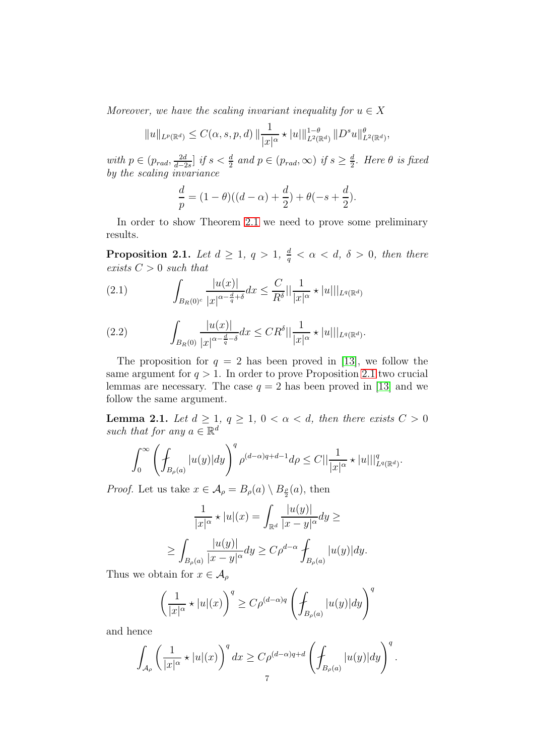Moreover, we have the scaling invariant inequality for  $u \in X$ 

$$
||u||_{L^{p}(\mathbb{R}^{d})} \leq C(\alpha, s, p, d) ||\frac{1}{|x|^{\alpha}} \star |u||_{L^{2}(\mathbb{R}^{d})}^{1-\theta} ||D^{s}u||_{L^{2}(\mathbb{R}^{d})}^{\theta},
$$

with  $p \in (p_{rad}, \frac{2d}{d-2})$  $\frac{2d}{d-2s}$  if  $s < \frac{d}{2}$  and  $p \in (p_{rad}, \infty)$  if  $s \geq \frac{d}{2}$  $\frac{d}{2}$ . Here  $\theta$  is fixed by the scaling invariance

$$
\frac{d}{p} = (1 - \theta)((d - \alpha) + \frac{d}{2}) + \theta(-s + \frac{d}{2}).
$$

In order to show Theorem [2.1](#page-5-1) we need to prove some preliminary results.

<span id="page-6-0"></span>**Proposition 2.1.** Let  $d \geq 1, q > 1, \frac{d}{d}$  $\frac{d}{q} < \alpha < d, \delta > 0$ , then there exists  $C > 0$  such that

<span id="page-6-2"></span>(2.1) 
$$
\int_{B_R(0)^c} \frac{|u(x)|}{|x|^{\alpha - \frac{d}{q} + \delta}} dx \leq \frac{C}{R^{\delta}} || \frac{1}{|x|^{\alpha}} \star |u||_{L^q(\mathbb{R}^d)}
$$

<span id="page-6-3"></span>(2.2) 
$$
\int_{B_R(0)} \frac{|u(x)|}{|x|^{\alpha - \frac{d}{q} - \delta}} dx \leq C R^{\delta} || \frac{1}{|x|^{\alpha}} \star |u||_{L^q(\mathbb{R}^d)}.
$$

The proposition for  $q = 2$  has been proved in [\[13\]](#page-20-3), we follow the same argument for  $q > 1$ . In order to prove Proposition [2.1](#page-6-0) two crucial lemmas are necessary. The case  $q = 2$  has been proved in [\[13\]](#page-20-3) and we follow the same argument.

<span id="page-6-1"></span>**Lemma 2.1.** Let  $d \geq 1$ ,  $q \geq 1$ ,  $0 < \alpha < d$ , then there exists  $C > 0$ such that for any  $a \in \mathbb{R}^d$ 

$$
\int_0^\infty \left(\int_{B_\rho(a)} |u(y)| dy\right)^q \rho^{(d-\alpha)q+d-1} d\rho \leq C||\frac{1}{|x|^\alpha} \star |u|||_{L^q(\mathbb{R}^d)}^q.
$$

*Proof.* Let us take  $x \in \mathcal{A}_{\rho} = B_{\rho}(a) \setminus B_{\frac{\rho}{2}}(a)$ , then

$$
\frac{1}{|x|^{\alpha}} \star |u|(x) = \int_{\mathbb{R}^d} \frac{|u(y)|}{|x - y|^{\alpha}} dy \ge
$$
  

$$
\ge \int_{B_{\rho}(a)} \frac{|u(y)|}{|x - y|^{\alpha}} dy \ge C\rho^{d-\alpha} \int_{B_{\rho}(a)} |u(y)| dy.
$$

Thus we obtain for  $x \in \mathcal{A}_{\rho}$ 

$$
\left(\frac{1}{|x|^{\alpha}} \star |u|(x)\right)^{q} \ge C\rho^{(d-\alpha)q} \left(\int_{B_{\rho}(a)} |u(y)| dy\right)^{q}
$$

and hence

$$
\int_{\mathcal{A}_{\rho}}\left(\frac{1}{|x|^{\alpha}}\star |u|(x)\right)^{q}dx \geq C\rho^{(d-\alpha)q+d}\left(\mathcal{f}_{B_{\rho}(a)}|u(y)|dy\right)^{q}.
$$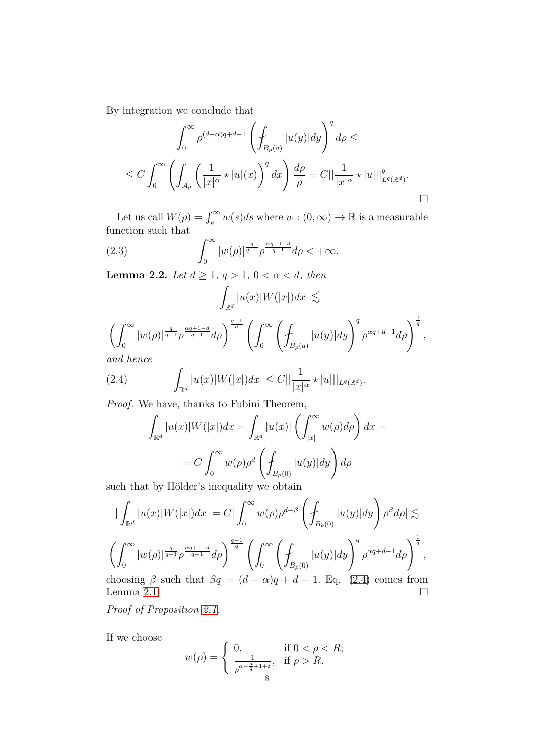By integration we conclude that

$$
\int_0^\infty \rho^{(d-\alpha)q+d-1} \left( \oint_{B_\rho(a)} |u(y)| dy \right)^q d\rho \le
$$
  

$$
\le C \int_0^\infty \left( \int_{\mathcal{A}_\rho} \left( \frac{1}{|x|^\alpha} \star |u|(x) \right)^q dx \right) \frac{d\rho}{\rho} = C ||\frac{1}{|x|^\alpha} \star |u|||_{L^q(\mathbb{R}^d)}^q.
$$

Let us call  $W(\rho) = \int_{\rho}^{\infty} w(s)ds$  where  $w : (0, \infty) \to \mathbb{R}$  is a measurable function such that

(2.3) 
$$
\int_0^\infty |w(\rho)|^{\frac{q}{q-1}} \rho^{\frac{\alpha q+1-d}{q-1}} d\rho < +\infty.
$$

<span id="page-7-1"></span>Lemma 2.2. Let  $d \geq 1, q > 1, 0 < \alpha < d$ , then

$$
\left| \int_{\mathbb{R}^d} |u(x)| W(|x|) dx \right| \lesssim
$$
  

$$
\left( \int_0^\infty |w(\rho)|^{\frac{q}{q-1}} \rho^{\frac{\alpha q+1-d}{q-1}} d\rho \right)^{\frac{q-1}{q}} \left( \int_0^\infty \left( \int_{B_\rho(a)} |u(y)| dy \right)^q \rho^{\alpha q+d-1} d\rho \right)^{\frac{1}{q}},
$$
  
and hence

and hence

(2.4) 
$$
|\int_{\mathbb{R}^d} |u(x)| W(|x|) dx| \leq C ||\frac{1}{|x|^{\alpha}} \star |u||_{L^q(\mathbb{R}^d)}.
$$

Proof. We have, thanks to Fubini Theorem,

<span id="page-7-0"></span>
$$
\int_{\mathbb{R}^d} |u(x)| W(|x|) dx = \int_{\mathbb{R}^d} |u(x)| \left( \int_{|x|}^{\infty} w(\rho) d\rho \right) dx =
$$

$$
= C \int_0^{\infty} w(\rho) \rho^d \left( \int_{B_{\rho}(0)} |u(y)| dy \right) d\rho
$$

such that by Hölder's inequality we obtain

$$
\begin{split}\n|\int_{\mathbb{R}^d} |u(x)|W(|x|)dx| &= C \left| \int_0^\infty w(\rho) \rho^{d-\beta} \left( \int_{B_\rho(0)} |u(y)|dy \right) \rho^\beta d\rho \right| \lesssim \\
\left( \int_0^\infty |w(\rho)|^{\frac{q}{q-1}} \rho^{\frac{\alpha q+1-d}{q-1}} d\rho \right)^{\frac{q-1}{q}} \left( \int_0^\infty \left( \int_{B_\rho(0)} |u(y)| dy \right)^q \rho^{\alpha q+d-1} d\rho \right)^{\frac{1}{q}},\n\end{split}
$$
\nchoosing  $\beta$  such that  $\beta q = (d - \alpha)q + d - 1$ . Eq. (2.4) comes from

choosing  $\beta$  such that  $\beta q = (d - \alpha)q + d - 1$ . Eq. [\(2.4\)](#page-7-0) comes from choosing  $\beta$  such that  $\beta q = (d - \alpha)q + d - 1$ . Eq. (2.4) comes from<br>Lemma [2.1.](#page-6-1)

Proof of Proposition [2.1.](#page-6-0)

If we choose

$$
w(\rho) = \begin{cases} 0, & \text{if } 0 < \rho < R; \\ \frac{1}{\rho^{\alpha - \frac{d}{q} + 1 + \delta}}, & \text{if } \rho > R. \end{cases}
$$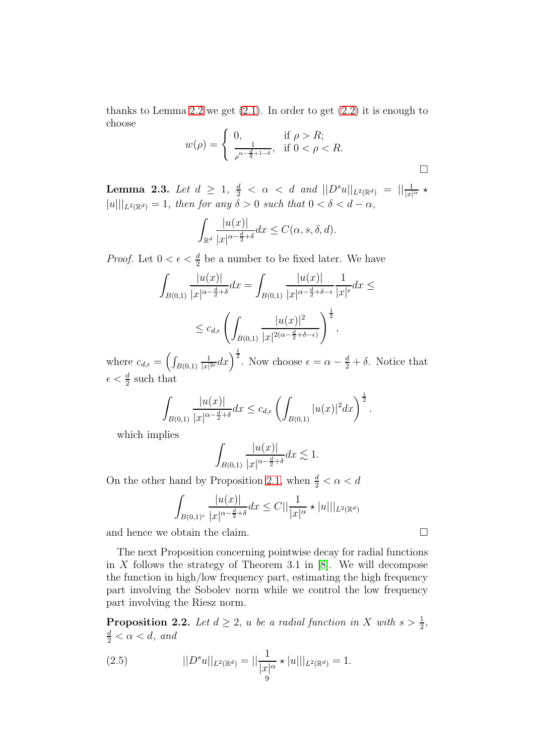thanks to Lemma [2.2](#page-7-1) we get  $(2.1)$ . In order to get  $(2.2)$  it is enough to choose

$$
w(\rho) = \begin{cases} 0, & \text{if } \rho > R; \\ \frac{1}{\rho^{\alpha - \frac{d}{q} + 1 - \delta}}, & \text{if } 0 < \rho < R. \end{cases}
$$

<span id="page-8-1"></span>Lemma 2.3. Let  $d \ge 1$ ,  $\frac{d}{2} < \alpha < d$  and  $||D^s u||_{L^2(\mathbb{R}^d)} = ||\frac{1}{|x|^{\alpha}} \star$  $||u||_{L^2(\mathbb{R}^d)} = 1$ , then for any  $\delta > 0$  such that  $0 < \delta < d - \alpha$ ,

$$
\int_{\mathbb{R}^d} \frac{|u(x)|}{|x|^{\alpha - \frac{d}{2} + \delta}} dx \le C(\alpha, s, \delta, d).
$$

*Proof.* Let  $0 < \epsilon < \frac{d}{2}$  be a number to be fixed later. We have

$$
\int_{B(0,1)} \frac{|u(x)|}{|x|^{\alpha - \frac{d}{2} + \delta}} dx = \int_{B(0,1)} \frac{|u(x)|}{|x|^{\alpha - \frac{d}{2} + \delta - \epsilon}} \frac{1}{|x|^{\epsilon}} dx \le
$$
  

$$
\leq c_{d,\epsilon} \left( \int_{B(0,1)} \frac{|u(x)|^2}{|x|^{2(\alpha - \frac{d}{2} + \delta - \epsilon)}} \right)^{\frac{1}{2}},
$$

where  $c_{d,\epsilon} = \left(\int_{B(0,1)}\right)$ 1  $\frac{1}{|x|^{2\epsilon}}dx\right)^{\frac{1}{2}}$ . Now choose  $\epsilon = \alpha - \frac{d}{2} + \delta$ . Notice that  $\epsilon < \frac{d}{2}$  such that

$$
\int_{B(0,1)} \frac{|u(x)|}{|x|^{\alpha - \frac{d}{2} + \delta}} dx \leq c_{d,\epsilon} \left( \int_{B(0,1)} |u(x)|^2 dx \right)^{\frac{1}{2}}.
$$

which implies

$$
\int_{B(0,1)} \frac{|u(x)|}{|x|^{\alpha - \frac{d}{2} + \delta}} dx \lesssim 1.
$$

On the other hand by Proposition [2.1,](#page-6-0) when  $\frac{d}{2} < \alpha < d$ 

$$
\int_{B(0,1)^c} \frac{|u(x)|}{|x|^{\alpha - \frac{d}{2} + \delta}} dx \leq C ||\frac{1}{|x|^{\alpha}} \star |u||_{L^2(\mathbb{R}^d)}
$$

and hence we obtain the claim.  $\hfill \square$ 

The next Proposition concerning pointwise decay for radial functions in  $X$  follows the strategy of Theorem 3.1 in [\[8\]](#page-19-7). We will decompose the function in high/low frequency part, estimating the high frequency part involving the Sobolev norm while we control the low frequency part involving the Riesz norm.

<span id="page-8-2"></span>**Proposition 2.2.** Let  $d \geq 2$ , u be a radial function in X with  $s > \frac{1}{2}$ ,  $\frac{d}{2} < \alpha < d$ , and

<span id="page-8-0"></span>(2.5) 
$$
||D^s u||_{L^2(\mathbb{R}^d)} = ||\frac{1}{|x|^{\alpha}} \star |u|||_{L^2(\mathbb{R}^d)} = 1.
$$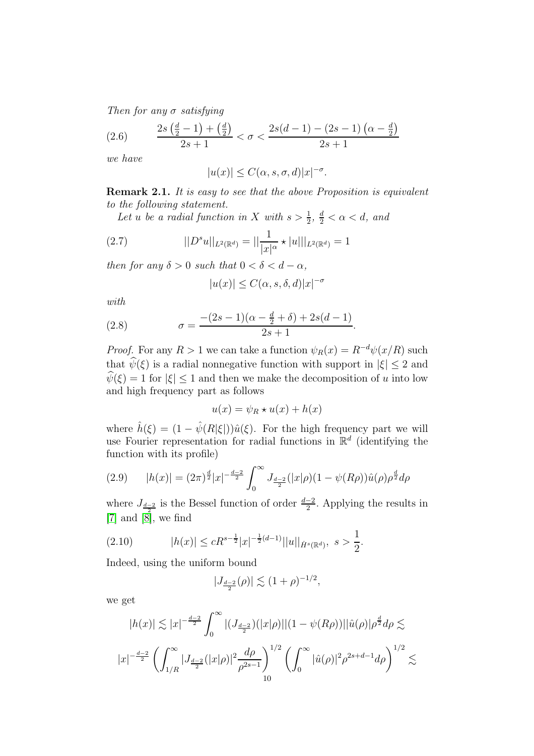Then for any  $\sigma$  satisfying

(2.6) 
$$
\frac{2s(\frac{d}{2}-1)+(\frac{d}{2})}{2s+1} < \sigma < \frac{2s(d-1)-(2s-1)(\alpha-\frac{d}{2})}{2s+1}
$$

we have

$$
|u(x)| \le C(\alpha, s, \sigma, d)|x|^{-\sigma}.
$$

Remark 2.1. It is easy to see that the above Proposition is equivalent to the following statement.

Let u be a radial function in X with  $s > \frac{1}{2}$ ,  $\frac{d}{2} < \alpha < d$ , and

(2.7) 
$$
||D^s u||_{L^2(\mathbb{R}^d)} = ||\frac{1}{|x|^{\alpha}} \star |u|||_{L^2(\mathbb{R}^d)} = 1
$$

then for any  $\delta > 0$  such that  $0 < \delta < d - \alpha$ ,

<span id="page-9-1"></span>
$$
|u(x)| \le C(\alpha, s, \delta, d)|x|^{-\sigma}
$$

with

(2.8) 
$$
\sigma = \frac{-(2s-1)(\alpha - \frac{d}{2} + \delta) + 2s(d-1)}{2s+1}.
$$

*Proof.* For any  $R > 1$  we can take a function  $\psi_R(x) = R^{-d}\psi(x/R)$  such that  $\hat{\psi}(\xi)$  is a radial nonnegative function with support in  $|\xi| \leq 2$  and  $\hat{\psi}(\xi) = 1$  for  $|\xi| \leq 1$  and then we make the decomposition of u into low and high frequency part as follows

$$
u(x) = \psi_R \star u(x) + h(x)
$$

where  $\hat{h}(\xi) = (1 - \hat{\psi}(R|\xi|))\hat{u}(\xi)$ . For the high frequency part we will use Fourier representation for radial functions in  $\mathbb{R}^d$  (identifying the function with its profile)

(2.9) 
$$
|h(x)| = (2\pi)^{\frac{d}{2}}|x|^{-\frac{d-2}{2}}\int_0^\infty J_{\frac{d-2}{2}}(|x|\rho)(1-\psi(R\rho))\hat{u}(\rho)\rho^{\frac{d}{2}}d\rho
$$

where  $J_{\frac{d-2}{2}}$  is the Bessel function of order  $\frac{d-2}{2}$ . Applying the results in  $[7]$  and  $[8]$ , we find

$$
(2.10) \t\t |h(x)| \le cR^{s-\frac{1}{2}}|x|^{-\frac{1}{2}(d-1)}||u||_{\dot{H}^s(\mathbb{R}^d)}, \ s > \frac{1}{2}.
$$

Indeed, using the uniform bound

<span id="page-9-0"></span>
$$
|J_{\frac{d-2}{2}}(\rho)| \lesssim (1+\rho)^{-1/2},
$$

we get

$$
|h(x)| \lesssim |x|^{-\frac{d-2}{2}} \int_0^\infty |(J_{\frac{d-2}{2}})(|x|\rho)||(1-\psi(R\rho))||\hat{u}(\rho)|\rho^{\frac{d}{2}}d\rho \lesssim
$$
  

$$
|x|^{-\frac{d-2}{2}} \left(\int_{1/R}^\infty |J_{\frac{d-2}{2}}(|x|\rho)|^2 \frac{d\rho}{\rho^{2s-1}}\right)^{1/2} \left(\int_0^\infty |\hat{u}(\rho)|^2 \rho^{2s+d-1} d\rho\right)^{1/2} \lesssim
$$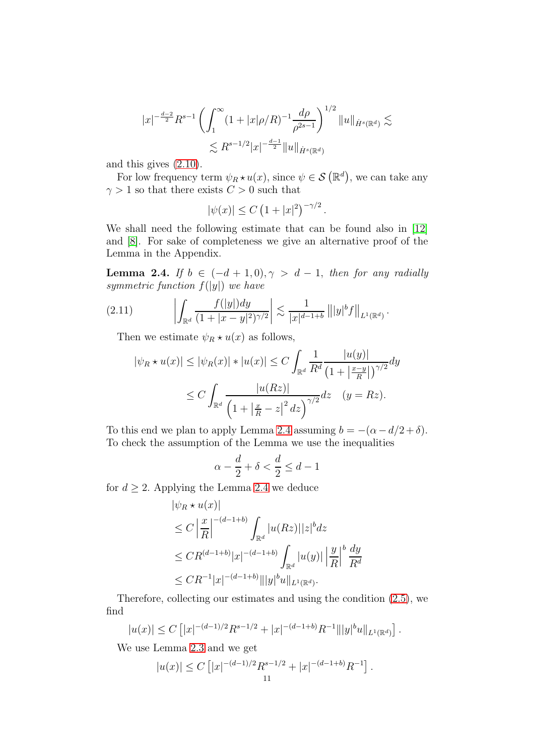$$
|x|^{-\frac{d-2}{2}} R^{s-1} \left( \int_1^\infty (1+|x|\rho/R)^{-1} \frac{d\rho}{\rho^{2s-1}} \right)^{1/2} ||u||_{\dot{H}^s(\mathbb{R}^d)} \lesssim
$$
  

$$
\lesssim R^{s-1/2} |x|^{-\frac{d-1}{2}} ||u||_{\dot{H}^s(\mathbb{R}^d)}
$$

and this gives [\(2.10\)](#page-9-0).

For low frequency term  $\psi_R \star u(x)$ , since  $\psi \in \mathcal{S}(\mathbb{R}^d)$ , we can take any  $\gamma > 1$  so that there exists  $C > 0$  such that

$$
|\psi(x)| \le C (1+|x|^2)^{-\gamma/2}.
$$

We shall need the following estimate that can be found also in [\[12\]](#page-20-5) and [\[8\]](#page-19-7). For sake of completeness we give an alternative proof of the Lemma in the Appendix.

<span id="page-10-0"></span>Lemma 2.4. If  $b \in (-d+1, 0), \gamma > d-1$ , then for any radially symmetric function  $f(|y|)$  we have

(2.11) 
$$
\left| \int_{\mathbb{R}^d} \frac{f(|y|) dy}{(1+|x-y|^2)^{\gamma/2}} \right| \lesssim \frac{1}{|x|^{d-1+b}} \left\| |y|^b f \right\|_{L^1(\mathbb{R}^d)}.
$$

Then we estimate  $\psi_R \star u(x)$  as follows,

$$
|\psi_R \star u(x)| \le |\psi_R(x)| \star |u(x)| \le C \int_{\mathbb{R}^d} \frac{1}{R^d} \frac{|u(y)|}{\left(1 + \left|\frac{x-y}{R}\right|\right)^{\gamma/2}} dy
$$
  

$$
\le C \int_{\mathbb{R}^d} \frac{|u(Rz)|}{\left(1 + \left|\frac{x}{R} - z\right|^2 dz\right)^{\gamma/2}} dz \quad (y = Rz).
$$

To this end we plan to apply Lemma [2.4](#page-10-0) assuming  $b = -(\alpha - d/2 + \delta)$ . To check the assumption of the Lemma we use the inequalities

$$
\alpha - \frac{d}{2} + \delta < \frac{d}{2} \le d - 1
$$

for  $d \geq 2$ . Applying the Lemma [2.4](#page-10-0) we deduce

$$
|\psi_R \star u(x)|
$$
  
\n
$$
\leq C \left| \frac{x}{R} \right|^{-(d-1+b)} \int_{\mathbb{R}^d} |u(Rz)||z|^b dz
$$
  
\n
$$
\leq C R^{(d-1+b)} |x|^{-(d-1+b)} \int_{\mathbb{R}^d} |u(y)| \left| \frac{y}{R} \right|^{b} \frac{dy}{R^d}
$$
  
\n
$$
\leq C R^{-1} |x|^{-(d-1+b)} ||y|^b u ||_{L^1(\mathbb{R}^d)}.
$$

Therefore, collecting our estimates and using the condition [\(2.5\)](#page-8-0), we find

$$
|u(x)| \leq C \left[ |x|^{-(d-1)/2} R^{s-1/2} + |x|^{-(d-1+b)} R^{-1} ||y|^b u||_{L^1(\mathbb{R}^d)} \right].
$$

We use Lemma [2.3](#page-8-1) and we get

$$
|u(x)| \le C \left[ |x|^{-(d-1)/2} R^{s-1/2} + |x|^{-(d-1+b)} R^{-1} \right].
$$
  
11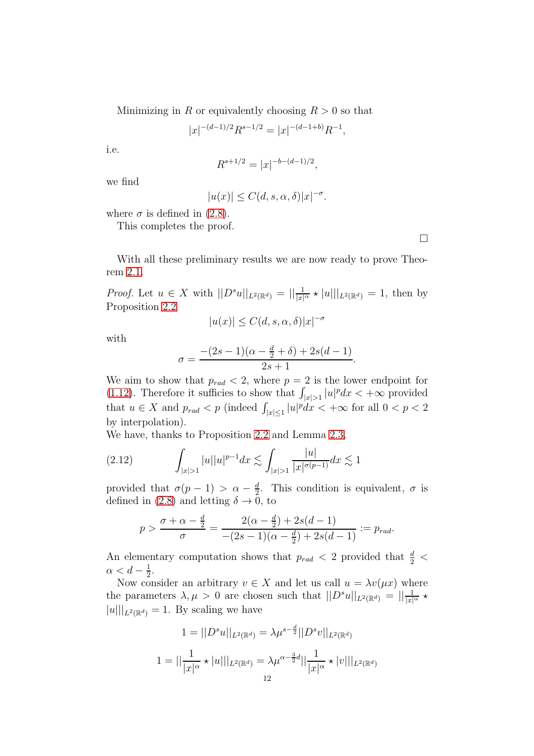Minimizing in R or equivalently choosing  $R > 0$  so that

$$
|x|^{-(d-1)/2}R^{s-1/2} = |x|^{-(d-1+b)}R^{-1},
$$

i.e.

$$
R^{s+1/2} = |x|^{-b-(d-1)/2},
$$

we find

$$
|u(x)| \le C(d, s, \alpha, \delta)|x|^{-\sigma}.
$$

where  $\sigma$  is defined in [\(2.8\)](#page-9-1).

This completes the proof.

 $\Box$ 

With all these preliminary results we are now ready to prove Theorem [2.1.](#page-5-1)

*Proof.* Let  $u \in X$  with  $||D^s u||_{L^2(\mathbb{R}^d)} = ||\frac{1}{|x|^{\alpha}} \star |u|||_{L^2(\mathbb{R}^d)} = 1$ , then by Proposition [2.2](#page-8-2)

$$
|u(x)|\leq C(d,s,\alpha,\delta)|x|^{-\sigma}
$$

with

$$
\sigma = \frac{-(2s-1)(\alpha - \frac{d}{2} + \delta) + 2s(d-1)}{2s+1}.
$$

We aim to show that  $p_{rad} < 2$ , where  $p = 2$  is the lower endpoint for [\(1.12\)](#page-3-0). Therefore it sufficies to show that  $\int_{|x|>1} |u|^p dx < +\infty$  provided that  $u \in X$  and  $p_{rad} < p$  (indeed  $\int_{|x| \le 1} |u|^p dx < +\infty$  for all  $0 < p < 2$ by interpolation).

We have, thanks to Proposition [2.2](#page-8-2) and Lemma [2.3,](#page-8-1)

$$
(2.12) \qquad \int_{|x|>1} |u||u|^{p-1} dx \lesssim \int_{|x|>1} \frac{|u|}{|x|^{\sigma(p-1)}} dx \lesssim 1
$$

provided that  $\sigma(p-1) > \alpha - \frac{d}{2}$  $\frac{d}{2}$ . This condition is equivalent,  $\sigma$  is defined in [\(2.8\)](#page-9-1) and letting  $\delta \to 0$ , to

$$
p > \frac{\sigma + \alpha - \frac{d}{2}}{\sigma} = \frac{2(\alpha - \frac{d}{2}) + 2s(d - 1)}{-(2s - 1)(\alpha - \frac{d}{2}) + 2s(d - 1)} := p_{rad}.
$$

An elementary computation shows that  $p_{rad}$  < 2 provided that  $\frac{d}{2}$  <  $\alpha < d - \frac{1}{2}$  $\frac{1}{2}$ .

Now consider an arbitrary  $v \in X$  and let us call  $u = \lambda v(\mu x)$  where the parameters  $\lambda, \mu > 0$  are chosen such that  $||D^s u||_{L^2(\mathbb{R}^d)} = ||\frac{1}{|x|^{\alpha}} \star$  $||u|||_{L^2(\mathbb{R}^d)} = 1$ . By scaling we have

$$
1 = ||D^s u||_{L^2(\mathbb{R}^d)} = \lambda \mu^{s - \frac{d}{2}} ||D^s v||_{L^2(\mathbb{R}^d)}
$$
  

$$
1 = ||\frac{1}{|x|^{\alpha}} \star |u|||_{L^2(\mathbb{R}^d)} = \lambda \mu^{\alpha - \frac{3}{2}d} ||\frac{1}{|x|^{\alpha}} \star |v|||_{L^2(\mathbb{R}^d)}
$$
  

$$
12
$$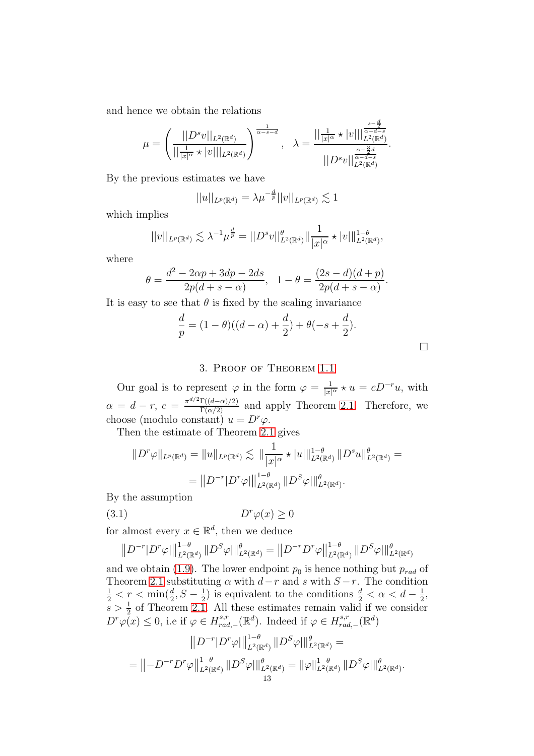and hence we obtain the relations

$$
\mu = \left(\frac{||D^s v||_{L^2(\mathbb{R}^d)}}{||\frac{1}{|x|^{\alpha}} \star |v|||_{L^2(\mathbb{R}^d)}}\right)^{\frac{1}{\alpha-s-d}}, \quad \lambda = \frac{||\frac{1}{|x|^{\alpha}} \star |v|||_{L^2(\mathbb{R}^d)}^{\frac{s-\frac{d}{2}}{|\alpha-d-s}}}{||D^s v||_{L^2(\mathbb{R}^d)}^{\frac{\alpha-\frac{3}{2}d}{\alpha-d-s}}}.
$$

By the previous estimates we have

$$
||u||_{L^{p}(\mathbb{R}^{d})} = \lambda \mu^{-\frac{d}{p}}||v||_{L^{p}(\mathbb{R}^{d})} \lesssim 1
$$

which implies

$$
||v||_{L^{p}(\mathbb{R}^{d})} \lesssim \lambda^{-1} \mu^{\frac{d}{p}} = ||D^{s}v||_{L^{2}(\mathbb{R}^{d})}^{\theta} ||\frac{1}{|x|^{\alpha}} \star |v||_{L^{2}(\mathbb{R}^{d})}^{1-\theta},
$$

where

$$
\theta = \frac{d^2 - 2\alpha p + 3dp - 2ds}{2p(d+s-\alpha)}, \quad 1 - \theta = \frac{(2s - d)(d+p)}{2p(d+s-\alpha)}
$$

It is easy to see that  $\theta$  is fixed by the scaling invariance

$$
\frac{d}{p} = (1 - \theta)((d - \alpha) + \frac{d}{2}) + \theta(-s + \frac{d}{2}).
$$

.

### 3. Proof of Theorem [1.1](#page-2-0)

Our goal is to represent  $\varphi$  in the form  $\varphi = \frac{1}{|x|^{\alpha}} \star u = cD^{-r}u$ , with  $\alpha = d - r$ ,  $c = \frac{\pi^{d/2}\Gamma((d-\alpha)/2)}{\Gamma(\alpha/2)}$  and apply Theorem [2.1.](#page-5-1) Therefore, we choose (modulo constant)  $u = D^r \varphi$ .

Then the estimate of Theorem [2.1](#page-5-1) gives

$$
||D^r \varphi||_{L^p(\mathbb{R}^d)} = ||u||_{L^p(\mathbb{R}^d)} \lesssim ||\frac{1}{|x|^{\alpha}} \star |u||_{L^2(\mathbb{R}^d)}^{1-\theta} ||D^s u||_{L^2(\mathbb{R}^d)}^{\theta} =
$$
  
= 
$$
||D^{-r}|D^r \varphi||_{L^2(\mathbb{R}^d)}^{1-\theta} ||D^s \varphi||_{L^2(\mathbb{R}^d)}^{\theta}.
$$

By the assumption

$$
(3.1) \t\t Dr\varphi(x) \ge 0
$$

for almost every  $x \in \mathbb{R}^d$ , then we deduce

$$
||D^{-r}|D^{r}\varphi||_{L^{2}(\mathbb{R}^{d})}^{1-\theta}||D^{S}\varphi||_{L^{2}(\mathbb{R}^{d})}^{\theta} = ||D^{-r}D^{r}\varphi||_{L^{2}(\mathbb{R}^{d})}^{1-\theta}||D^{S}\varphi||_{L^{2}(\mathbb{R}^{d})}^{\theta}
$$

and we obtain [\(1.9\)](#page-2-1). The lower endpoint  $p_0$  is hence nothing but  $p_{rad}$  of Theorem [2.1](#page-5-1) substituting  $\alpha$  with  $d-r$  and s with  $S-r$ . The condition  $\frac{1}{2} < r < \min(\frac{d}{2}, S - \frac{1}{2})$  $\frac{1}{2}$ ) is equivalent to the conditions  $\frac{d}{2} < \alpha < d - \frac{1}{2}$  $\frac{1}{2}$ ,  $s > \frac{1}{2}$  of Theorem [2.1.](#page-5-1) All these estimates remain valid if we consider  $D^r\varphi(x) \leq 0$ , i.e if  $\varphi \in H^{s,r}_{rad}$ <sup>s,r</sup><sub>rad,−</sub>( $\mathbb{R}^d$ ). Indeed if  $\varphi \in H_{rac}^{s,r}$  $_{rad,-}^{s,r}(\mathbb{R}^d)$ 

$$
||D^{-r}|D^{r}\varphi||_{L^{2}(\mathbb{R}^{d})}^{1-\theta}||D^{S}\varphi||_{L^{2}(\mathbb{R}^{d})}^{\theta} =
$$
  
= 
$$
||-D^{-r}D^{r}\varphi||_{L^{2}(\mathbb{R}^{d})}^{1-\theta}||D^{S}\varphi||_{L^{2}(\mathbb{R}^{d})}^{\theta} = ||\varphi||_{L^{2}(\mathbb{R}^{d})}^{1-\theta}||D^{S}\varphi||_{L^{2}(\mathbb{R}^{d})}^{\theta}.
$$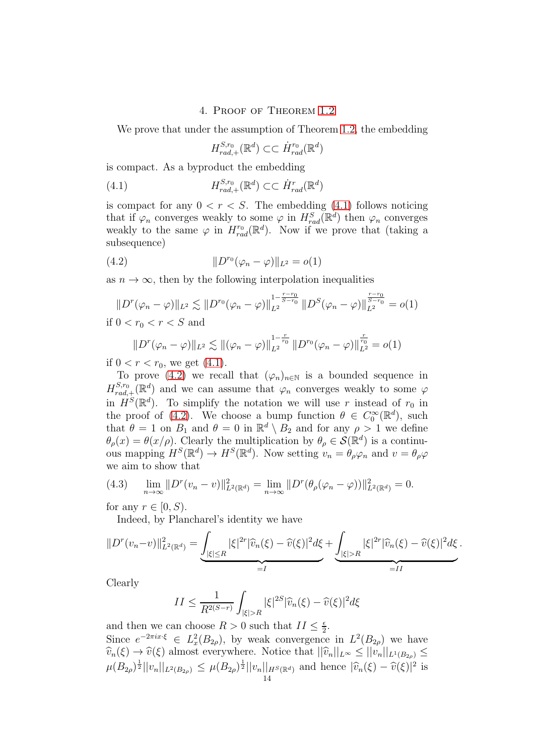### 4. Proof of Theorem [1.2](#page-2-2)

We prove that under the assumption of Theorem [1.2,](#page-2-2) the embedding

<span id="page-13-0"></span>
$$
H_{rad,+}^{S,r_0}(\mathbb{R}^d) \subset \subset \dot{H}_{rad}^{r_0}(\mathbb{R}^d)
$$

is compact. As a byproduct the embedding

(4.1) 
$$
H_{rad,+}^{S,r_0}(\mathbb{R}^d) \subset \subset \dot{H}_{rad}^r(\mathbb{R}^d)
$$

is compact for any  $0 < r < S$ . The embedding [\(4.1\)](#page-13-0) follows noticing that if  $\varphi_n$  converges weakly to some  $\varphi$  in  $H_{rad}^S(\mathbb{R}^d)$  then  $\varphi_n$  converges weakly to the same  $\varphi$  in  $H^{r_0}_{rad}(\mathbb{R}^d)$ . Now if we prove that (taking a subsequence)

(4.2) 
$$
||D^{r_0}(\varphi_n - \varphi)||_{L^2} = o(1)
$$

as  $n \to \infty$ , then by the following interpolation inequalities

<span id="page-13-1"></span>
$$
||D^r(\varphi_n - \varphi)||_{L^2} \lesssim ||D^{r_0}(\varphi_n - \varphi)||_{L^2}^{1 - \frac{r - r_0}{S - r_0}} ||D^S(\varphi_n - \varphi)||_{L^2}^{\frac{r - r_0}{S - r_0}} = o(1)
$$

if 
$$
0 < r_0 < r < S
$$
 and

$$
||D^{r}(\varphi_{n}-\varphi)||_{L^{2}} \lesssim ||(\varphi_{n}-\varphi)||_{L^{2}}^{1-\frac{r}{r_{0}}} ||D^{r_{0}}(\varphi_{n}-\varphi)||_{L^{2}}^{\frac{r}{r_{0}}}=o(1)
$$

if  $0 < r < r_0$ , we get  $(4.1)$ .

To prove [\(4.2\)](#page-13-1) we recall that  $(\varphi_n)_{n\in\mathbb{N}}$  is a bounded sequence in  $H_{rad}^{S,r_0}$  ${}_{rad,+}^{S,r_0}(\mathbb{R}^d)$  and we can assume that  $\varphi_n$  converges weakly to some  $\varphi$ in  $H^S(\mathbb{R}^d)$ . To simplify the notation we will use r instead of  $r_0$  in the proof of [\(4.2\)](#page-13-1). We choose a bump function  $\theta \in C_0^{\infty}(\mathbb{R}^d)$ , such that  $\theta = 1$  on  $B_1$  and  $\theta = 0$  in  $\mathbb{R}^d \setminus B_2$  and for any  $\rho > 1$  we define  $\theta_{\rho}(x) = \theta(x/\rho)$ . Clearly the multiplication by  $\theta_{\rho} \in \mathcal{S}(\mathbb{R}^d)$  is a continuous mapping  $H^S(\mathbb{R}^d) \to H^S(\mathbb{R}^d)$ . Now setting  $v_n = \theta_\rho \varphi_n$  and  $v = \theta_\rho \varphi$ we aim to show that

<span id="page-13-2"></span>(4.3) 
$$
\lim_{n \to \infty} ||D^r(v_n - v)||_{L^2(\mathbb{R}^d)}^2 = \lim_{n \to \infty} ||D^r(\theta_\rho(\varphi_n - \varphi))||_{L^2(\mathbb{R}^d)}^2 = 0.
$$

for any  $r \in [0, S)$ .

Indeed, by Plancharel's identity we have

$$
||D^r(v_n-v)||_{L^2(\mathbb{R}^d)}^2 = \underbrace{\int_{|\xi| \le R} |\xi|^{2r} |\widehat{v}_n(\xi) - \widehat{v}(\xi)|^2 d\xi}_{=I} + \underbrace{\int_{|\xi| > R} |\xi|^{2r} |\widehat{v}_n(\xi) - \widehat{v}(\xi)|^2 d\xi}_{=II}
$$

.

Clearly

$$
II \le \frac{1}{R^{2(S-r)}} \int_{|\xi|>R} |\xi|^{2S} |\widehat{v}_n(\xi) - \widehat{v}(\xi)|^2 d\xi
$$

and then we can choose  $R > 0$  such that  $II \leq \frac{\epsilon}{2}$  $\frac{\epsilon}{2}$ . Since  $e^{-2\pi ix\cdot\xi} \in L_x^2(B_{2\rho})$ , by weak convergence in  $L^2(B_{2\rho})$  we have  $\widehat{v}_n(\xi) \to \widehat{v}(\xi)$  almost everywhere. Notice that  $||\widehat{v}_n||_{L^{\infty}} \leq ||v_n||_{L^1(B_{2\rho})} \leq$  $\mu(B_{2\rho})^{\frac{1}{2}}||v_n||_{L^2(B_{2\rho})} \leq \mu(B_{2\rho})^{\frac{1}{2}}||v_n||_{H^S(\mathbb{R}^d)}$  and hence  $|\widehat{v}_n(\xi) - \widehat{v}(\xi)|^2$  is 14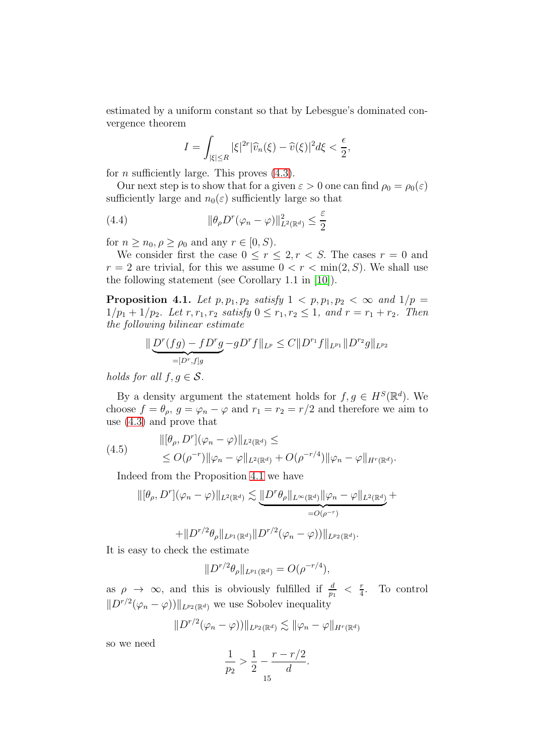estimated by a uniform constant so that by Lebesgue's dominated convergence theorem

<span id="page-14-1"></span>
$$
I = \int_{|\xi| \le R} |\xi|^{2r} |\widehat{v}_n(\xi) - \widehat{v}(\xi)|^2 d\xi < \frac{\epsilon}{2},
$$

for *n* sufficiently large. This proves  $(4.3)$ .

Our next step is to show that for a given  $\varepsilon > 0$  one can find  $\rho_0 = \rho_0(\varepsilon)$ sufficiently large and  $n_0(\varepsilon)$  sufficiently large so that

(4.4) 
$$
\|\theta_{\rho}D^{r}(\varphi_{n}-\varphi)\|_{L^{2}(\mathbb{R}^{d})}^{2} \leq \frac{\varepsilon}{2}
$$

for  $n \geq n_0, \rho \geq \rho_0$  and any  $r \in [0, S)$ .

We consider first the case  $0 \le r \le 2, r < S$ . The cases  $r = 0$  and  $r = 2$  are trivial, for this we assume  $0 < r < \min(2, S)$ . We shall use the following statement (see Corollary 1.1 in [\[10\]](#page-19-8)).

<span id="page-14-0"></span>**Proposition 4.1.** Let  $p, p_1, p_2$  satisfy  $1 \lt p, p_1, p_2 \lt \infty$  and  $1/p =$  $1/p_1 + 1/p_2$ . Let  $r, r_1, r_2$  satisfy  $0 \le r_1, r_2 \le 1$ , and  $r = r_1 + r_2$ . Then the following bilinear estimate

$$
\|\underbrace{D^r(fg) - fD^r g}_{=[D^r,f]g} - gD^r f\|_{L^p} \le C \|D^{r_1}f\|_{L^{p_1}} \|D^{r_2}g\|_{L^{p_2}}
$$

holds for all  $f, g \in \mathcal{S}$ .

By a density argument the statement holds for  $f, g \in H^S(\mathbb{R}^d)$ . We choose  $f = \theta_{\rho}, g = \varphi_n - \varphi$  and  $r_1 = r_2 = r/2$  and therefore we aim to use [\(4.3\)](#page-13-2) and prove that

(4.5) 
$$
\begin{aligned} ||[\theta_{\rho}, D^r](\varphi_n - \varphi)||_{L^2(\mathbb{R}^d)} &\leq \\ &\leq O(\rho^{-r}) ||\varphi_n - \varphi||_{L^2(\mathbb{R}^d)} + O(\rho^{-r/4}) ||\varphi_n - \varphi||_{H^r(\mathbb{R}^d)}. \end{aligned}
$$

Indeed from the Proposition [4.1](#page-14-0) we have

<span id="page-14-2"></span>
$$
\|[\theta_{\rho}, D^r](\varphi_n - \varphi)\|_{L^2(\mathbb{R}^d)} \lesssim \underbrace{\|D^r \theta_{\rho}\|_{L^{\infty}(\mathbb{R}^d)} \|\varphi_n - \varphi\|_{L^2(\mathbb{R}^d)}}_{=O(\rho^{-r})} +
$$

$$
+\|D^{r/2}\theta_{\rho}\|_{L^{p_1}(\mathbb{R}^d)}\|D^{r/2}(\varphi_n-\varphi))\|_{L^{p_2}(\mathbb{R}^d)}.
$$

It is easy to check the estimate

$$
||D^{r/2}\theta_{\rho}||_{L^{p_1}(\mathbb{R}^d)} = O(\rho^{-r/4}),
$$

as  $\rho \to \infty$ , and this is obviously fulfilled if  $\frac{d}{p_1} < \frac{r}{4}$  $\frac{r}{4}$ . To control  $||D^{r/2}(\varphi_n - \varphi)||_{L^{p_2}(\mathbb{R}^d)}$  we use Sobolev inequality

$$
||D^{r/2}(\varphi_n-\varphi))||_{L^{p_2}(\mathbb{R}^d)} \lesssim ||\varphi_n-\varphi||_{H^r(\mathbb{R}^d)}
$$

so we need

$$
\frac{1}{p_2} > \frac{1}{2} - \frac{r - r/2}{d}.
$$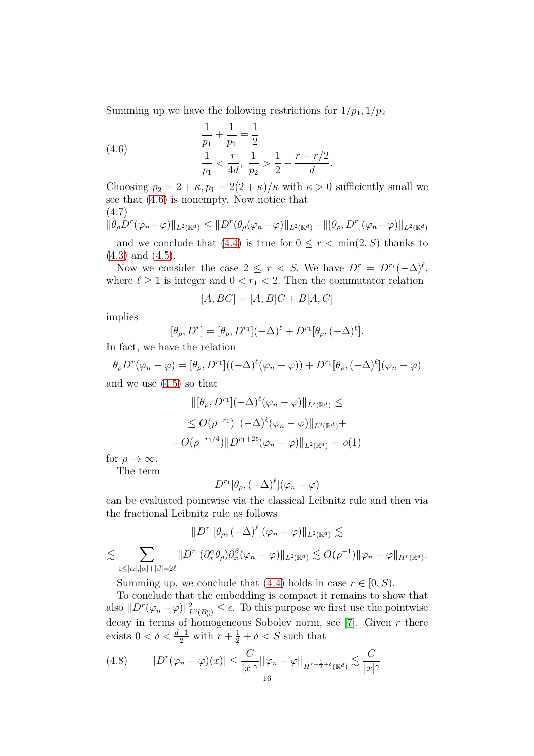Summing up we have the following restrictions for  $1/p_1$ ,  $1/p_2$ 

<span id="page-15-0"></span>(4.6) 
$$
\frac{1}{p_1} + \frac{1}{p_2} = \frac{1}{2}
$$

$$
\frac{1}{p_1} < \frac{r}{4d}, \frac{1}{p_2} > \frac{1}{2} - \frac{r - r/2}{d}.
$$

Choosing  $p_2 = 2 + \kappa$ ,  $p_1 = 2(2 + \kappa)/\kappa$  with  $\kappa > 0$  sufficiently small we see that [\(4.6\)](#page-15-0) is nonempty. Now notice that (4.7)

$$
\|\theta_{\rho}\mathcal{D}^{r}(\varphi_{n}-\varphi)\|_{L^{2}(\mathbb{R}^{d})}\leq\|D^{r}(\theta_{\rho}(\varphi_{n}-\varphi)\|_{L^{2}(\mathbb{R}^{d})}+\|[\theta_{\rho},D^{r}](\varphi_{n}-\varphi)\|_{L^{2}(\mathbb{R}^{d})}
$$

and we conclude that [\(4.4\)](#page-14-1) is true for  $0 \leq r < \min(2, S)$  thanks to [\(4.3\)](#page-13-2) and [\(4.5\)](#page-14-2).

Now we consider the case  $2 \leq r < S$ . We have  $D^r = D^{r_1}(-\Delta)^{\ell}$ , where  $\ell \geq 1$  is integer and  $0 < r_1 < 2$ . Then the commutator relation

$$
[A,BC] = [A,B]C + B[A,C]
$$

implies

$$
[\theta_{\rho}, D^r] = [\theta_{\rho}, D^{r_1}](-\Delta)^{\ell} + D^{r_1}[\theta_{\rho}, (-\Delta)^{\ell}].
$$

In fact, we have the relation

 $\theta_{\rho}D^{r}(\varphi_{n}-\varphi)= [\theta_{\rho},D^{r_{1}}]((-\Delta)^{\ell}(\varphi_{n}-\varphi))+D^{r_{1}}[\theta_{\rho},(-\Delta)^{\ell}](\varphi_{n}-\varphi)$ and we use [\(4.5\)](#page-14-2) so that

$$
\|[\theta_{\rho}, D^{r_1}](-\Delta)^{\ell}(\varphi_n - \varphi)\|_{L^2(\mathbb{R}^d)} \le
$$
  
\n
$$
\leq O(\rho^{-r_1}) \|(-\Delta)^{\ell}(\varphi_n - \varphi)\|_{L^2(\mathbb{R}^d)} +
$$
  
\n
$$
+ O(\rho^{-r_1/4}) \|D^{r_1 + 2\ell}(\varphi_n - \varphi)\|_{L^2(\mathbb{R}^d)} = o(1)
$$

for  $\rho \to \infty$ .

The term

$$
D^{r_1}[\theta_\rho, (-\Delta)^{\ell}](\varphi_n - \varphi)
$$

can be evaluated pointwise via the classical Leibnitz rule and then via the fractional Leibnitz rule as follows

$$
||D^{r_1}[\theta_{\rho}, (-\Delta)^{\ell}](\varphi_n - \varphi)||_{L^2(\mathbb{R}^d)} \lesssim
$$
  

$$
\lesssim \sum_{1 \leq |\alpha|, |\alpha| + |\beta| = 2\ell} ||D^{r_1}(\partial_x^{\alpha} \theta_{\rho}) \partial_x^{\beta} (\varphi_n - \varphi)||_{L^2(\mathbb{R}^d)} \lesssim O(\rho^{-1}) ||\varphi_n - \varphi||_{H^r(\mathbb{R}^d)}.
$$

Summing up, we conclude that [\(4.4\)](#page-14-1) holds in case  $r \in [0, S)$ .

To conclude that the embedding is compact it remains to show that also  $||D^r(\varphi_n-\varphi)||^2_{L^2(B_\rho^c)} \leq \epsilon$ . To this purpose we first use the pointwise decay in terms of homogeneous Sobolev norm, see [\[7\]](#page-19-6). Given  $r$  there exists  $0 < \delta < \frac{d-1}{2}$  with  $r + \frac{1}{2} + \delta < S$  such that

$$
(4.8) \qquad |D^r(\varphi_n - \varphi)(x)| \le \frac{C}{|x|^\gamma} ||\varphi_n - \varphi||_{\dot{H}^{r + \frac{1}{2} + \delta}(\mathbb{R}^d)} \lesssim \frac{C}{|x|^\gamma}
$$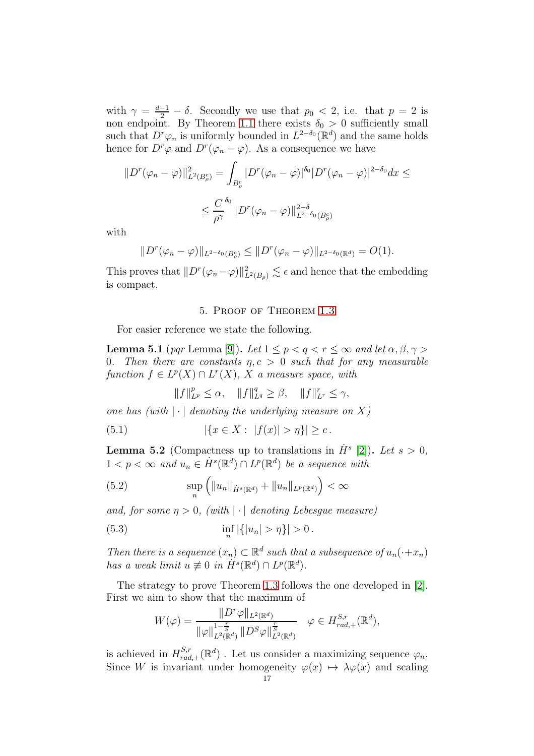with  $\gamma = \frac{d-1}{2} - \delta$ . Secondly we use that  $p_0 < 2$ , i.e. that  $p = 2$  is non endpoint. By Theorem [1.1](#page-2-0) there exists  $\delta_0 > 0$  sufficiently small such that  $D^r \varphi_n$  is uniformly bounded in  $L^{2-\delta_0}(\mathbb{R}^d)$  and the same holds hence for  $D^r\varphi$  and  $D^r(\varphi_n - \varphi)$ . As a consequence we have

$$
||D^r(\varphi_n - \varphi)||_{L^2(B_\rho^c)}^2 = \int_{B_\rho^c} |D^r(\varphi_n - \varphi)|^{\delta_0} |D^r(\varphi_n - \varphi)|^{2-\delta_0} dx \le
$$
  

$$
\le \frac{C}{\rho^\gamma} \frac{\delta_0}{||D^r(\varphi_n - \varphi)||_{L^{2-\delta_0}(B_\rho^c)}^{2-\delta_0}}
$$

with

$$
||D^{r}(\varphi_{n}-\varphi)||_{L^{2-\delta_{0}}(B_{\rho}^{c})}\leq ||D^{r}(\varphi_{n}-\varphi)||_{L^{2-\delta_{0}}(\mathbb{R}^{d})}=O(1).
$$

This proves that  $||D^r(\varphi_n-\varphi)||^2_{L^2(B_\rho)} \lesssim \epsilon$  and hence that the embedding is compact.

### 5. Proof of Theorem [1.3](#page-3-2)

For easier reference we state the following.

<span id="page-16-0"></span>**Lemma 5.1** (pqr Lemma [\[9\]](#page-19-9)). Let  $1 \leq p < q < r \leq \infty$  and let  $\alpha, \beta, \gamma >$ 0. Then there are constants  $\eta, c > 0$  such that for any measurable function  $f \in L^p(X) \cap L^r(X)$ , X a measure space, with

$$
||f||_{L^p}^p \le \alpha, \quad ||f||_{L^q}^q \ge \beta, \quad ||f||_{L^r}^r \le \gamma,
$$

one has (with  $|\cdot|$  denoting the underlying measure on X)

(5.1)  $|\{x \in X : |f(x)| > \eta\}| \geq c$ .

<span id="page-16-1"></span>**Lemma 5.2** (Compactness up to translations in  $\dot{H}^s$  [\[2\]](#page-19-10)). Let  $s > 0$ ,  $1 < p < \infty$  and  $u_n \in \dot{H}^s(\mathbb{R}^d) \cap L^p(\mathbb{R}^d)$  be a sequence with

<span id="page-16-2"></span>(5.2) 
$$
\sup_{n} (||u_{n}||_{\dot{H}^{s}(\mathbb{R}^{d})} + ||u_{n}||_{L^{p}(\mathbb{R}^{d})}) < \infty
$$

and, for some  $\eta > 0$ , (with  $|\cdot|$  denoting Lebesque measure)

(5.3) 
$$
\inf_{n} |\{|u_n| > \eta\}| > 0.
$$

Then there is a sequence  $(x_n) \subset \mathbb{R}^d$  such that a subsequence of  $u_n(\cdot+x_n)$ has a weak limit  $u \not\equiv 0$  in  $\dot{H}^s(\mathbb{R}^d) \cap L^p(\mathbb{R}^d)$ .

The strategy to prove Theorem [1.3](#page-3-2) follows the one developed in [\[2\]](#page-19-10). First we aim to show that the maximum of

<span id="page-16-3"></span>
$$
W(\varphi) = \frac{\|D^r \varphi\|_{L^2(\mathbb{R}^d)}}{\|\varphi\|_{L^2(\mathbb{R}^d)}^{1-\frac{r}{S}} \|D^S \varphi\|_{L^2(\mathbb{R}^d)}^{\frac{r}{S}}} \quad \varphi \in H_{rad,+}^{S,r}(\mathbb{R}^d),
$$

is achieved in  $H_{rad}^{S,r}$  ${}_{rad,+}^{S,r}(\mathbb{R}^d)$ . Let us consider a maximizing sequence  $\varphi_n$ . Since W is invariant under homogeneity  $\varphi(x) \mapsto \lambda \varphi(x)$  and scaling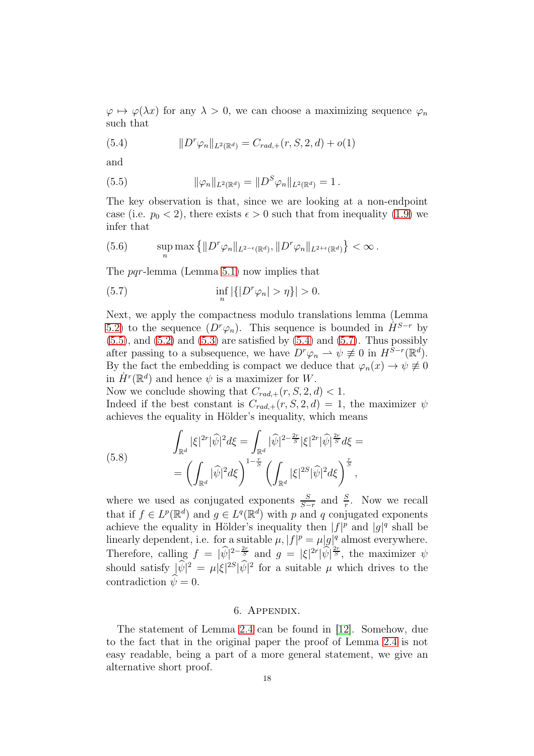$\varphi \mapsto \varphi(\lambda x)$  for any  $\lambda > 0$ , we can choose a maximizing sequence  $\varphi_n$ such that

<span id="page-17-1"></span>(5.4) 
$$
||D^r \varphi_n||_{L^2(\mathbb{R}^d)} = C_{rad,+}(r, S, 2, d) + o(1)
$$

and

<span id="page-17-0"></span>(5.5) 
$$
\|\varphi_n\|_{L^2(\mathbb{R}^d)} = \|D^S \varphi_n\|_{L^2(\mathbb{R}^d)} = 1.
$$

The key observation is that, since we are looking at a non-endpoint case (i.e.  $p_0 < 2$ ), there exists  $\epsilon > 0$  such that from inequality [\(1.9\)](#page-2-1) we infer that

(5.6) 
$$
\sup_n \max \left\{ \| D^r \varphi_n \|_{L^{2-\epsilon}(\mathbb{R}^d)}, \| D^r \varphi_n \|_{L^{2+\epsilon}(\mathbb{R}^d)} \right\} < \infty.
$$

The *pqr*-lemma (Lemma [5.1\)](#page-16-0) now implies that

<span id="page-17-2"></span>(5.7) 
$$
\inf_{n} |\{|D^r \varphi_n| > \eta\}| > 0.
$$

Next, we apply the compactness modulo translations lemma (Lemma [5.2\)](#page-16-1) to the sequence  $(D^r \varphi_n)$ . This sequence is bounded in  $\dot{H}^{S-r}$  by  $(5.5)$ , and  $(5.2)$  and  $(5.3)$  are satisfied by  $(5.4)$  and  $(5.7)$ . Thus possibly after passing to a subsequence, we have  $D^r \varphi_n \rightharpoonup \psi \not\equiv 0$  in  $H^{\overline{S}-r}(\mathbb{R}^d)$ . By the fact the embedding is compact we deduce that  $\varphi_n(x) \to \psi \neq 0$ in  $\dot{H}^r(\mathbb{R}^d)$  and hence  $\psi$  is a maximizer for W.

Now we conclude showing that  $C_{rad,+}(r, S, 2, d) < 1$ .

Indeed if the best constant is  $C_{rad,+}(r, S, 2, d) = 1$ , the maximizer  $\psi$ achieves the equality in Hölder's inequality, which means

(5.8) 
$$
\int_{\mathbb{R}^d} |\xi|^{2r} |\widehat{\psi}|^2 d\xi = \int_{\mathbb{R}^d} |\widehat{\psi}|^{2 - \frac{2r}{S}} |\xi|^{2r} |\widehat{\psi}|^{\frac{2r}{S}} d\xi = \left( \int_{\mathbb{R}^d} |\widehat{\psi}|^2 d\xi \right)^{1 - \frac{r}{S}} \left( \int_{\mathbb{R}^d} |\xi|^{2S} |\widehat{\psi}|^2 d\xi \right)^{\frac{r}{S}},
$$

where we used as conjugated exponents  $\frac{S}{S-r}$  and  $\frac{S}{r}$ . Now we recall that if  $f \in L^p(\mathbb{R}^d)$  and  $g \in L^q(\mathbb{R}^d)$  with p and q conjugated exponents achieve the equality in Hölder's inequality then  $|f|^p$  and  $|g|^q$  shall be linearly dependent, i.e. for a suitable  $\mu$ ,  $|f|^p = \mu |g|^q$  almost everywhere. Therefore, calling  $f = |\hat{\psi}|^{2-\frac{2r}{S}}$  and  $g = |\xi|^{2r} |\hat{\psi}|^{\frac{2r}{S}}$ , the maximizer  $\psi$ should satisfy  $|\psi|^2 = \mu |\xi|^{2S} |\psi|^2$  for a suitable  $\mu$  which drives to the contradiction  $\psi = 0$ .

#### 6. Appendix.

The statement of Lemma [2.4](#page-10-0) can be found in [\[12\]](#page-20-5). Somehow, due to the fact that in the original paper the proof of Lemma [2.4](#page-10-0) is not easy readable, being a part of a more general statement, we give an alternative short proof.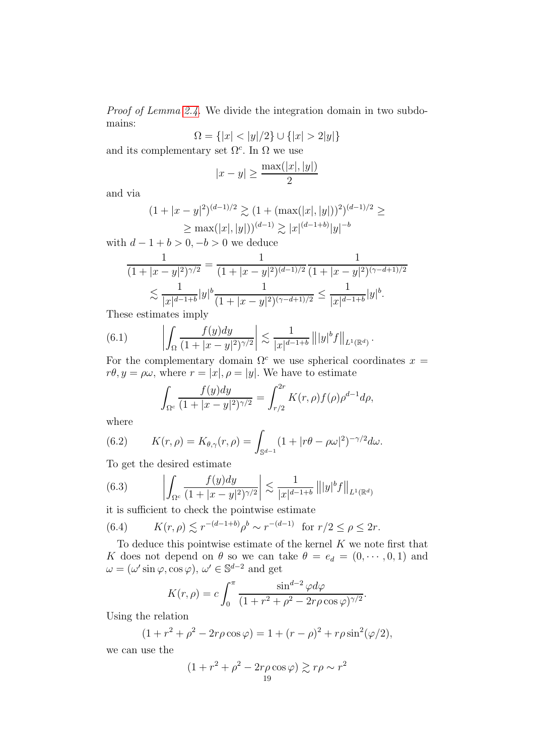Proof of Lemma [2.4.](#page-10-0) We divide the integration domain in two subdomains:

$$
\Omega = \{|x| < |y|/2\} \cup \{|x| > 2|y|\}
$$

and its complementary set  $\Omega^c$ . In  $\Omega$  we use

$$
|x - y| \ge \frac{\max(|x|, |y|)}{2}
$$

and via

$$
(1+|x-y|^2)^{(d-1)/2} \gtrsim (1+(\max(|x|,|y|))^2)^{(d-1)/2} \ge
$$
  
 
$$
\ge \max(|x|,|y|))^{(d-1)} \gtrsim |x|^{(d-1+b)}|y|^{-b}
$$

with  $d-1+b>0, -b>0$  we deduce

$$
\frac{1}{(1+|x-y|^2)^{\gamma/2}} = \frac{1}{(1+|x-y|^2)^{(d-1)/2}} \frac{1}{(1+|x-y|^2)^{(\gamma-d+1)/2}}
$$

$$
\lesssim \frac{1}{|x|^{d-1+b}} |y|^b \frac{1}{(1+|x-y|^2)^{(\gamma-d+1)/2}} \leq \frac{1}{|x|^{d-1+b}} |y|^b.
$$

These estimates imply

(6.1) 
$$
\left| \int_{\Omega} \frac{f(y)dy}{(1+|x-y|^2)^{\gamma/2}} \right| \lesssim \frac{1}{|x|^{d-1+b}} \left\| |y|^b f \right\|_{L^1(\mathbb{R}^d)}.
$$

For the complementary domain  $\Omega^c$  we use spherical coordinates  $x =$  $r\theta, y = \rho\omega$ , where  $r = |x|, \rho = |y|$ . We have to estimate

$$
\int_{\Omega^c} \frac{f(y)dy}{(1+|x-y|^2)^{\gamma/2}} = \int_{r/2}^{2r} K(r,\rho)f(\rho)\rho^{d-1}d\rho,
$$

where

(6.2) 
$$
K(r,\rho) = K_{\theta,\gamma}(r,\rho) = \int_{\mathbb{S}^{d-1}} (1+|r\theta - \rho\omega|^2)^{-\gamma/2} d\omega.
$$

To get the desired estimate

(6.3) 
$$
\left| \int_{\Omega^c} \frac{f(y)dy}{(1+|x-y|^2)^{\gamma/2}} \right| \lesssim \frac{1}{|x|^{d-1+b}} \left\| |y|^b f \right\|_{L^1(\mathbb{R}^d)}
$$

it is sufficient to check the pointwise estimate

<span id="page-18-0"></span>(6.4) 
$$
K(r, \rho) \lesssim r^{-(d-1+b)} \rho^b \sim r^{-(d-1)}
$$
 for  $r/2 \le \rho \le 2r$ .

To deduce this pointwise estimate of the kernel K we note first that K does not depend on  $\theta$  so we can take  $\theta = e_d = (0, \dots, 0, 1)$  and  $\omega = (\omega' \sin \varphi, \cos \varphi), \, \omega' \in \mathbb{S}^{d-2}$  and get

$$
K(r,\rho) = c \int_0^{\pi} \frac{\sin^{d-2} \varphi d\varphi}{(1+r^2+\rho^2-2r\rho\cos\varphi)^{\gamma/2}}.
$$

Using the relation

$$
(1 + r2 + \rho2 - 2r\rho\cos\varphi) = 1 + (r - \rho)2 + r\rho\sin2(\varphi/2),
$$

we can use the

$$
(1+r^2+\rho^2-2r\rho\cos\varphi)\gtrsim r\rho\sim r^2
$$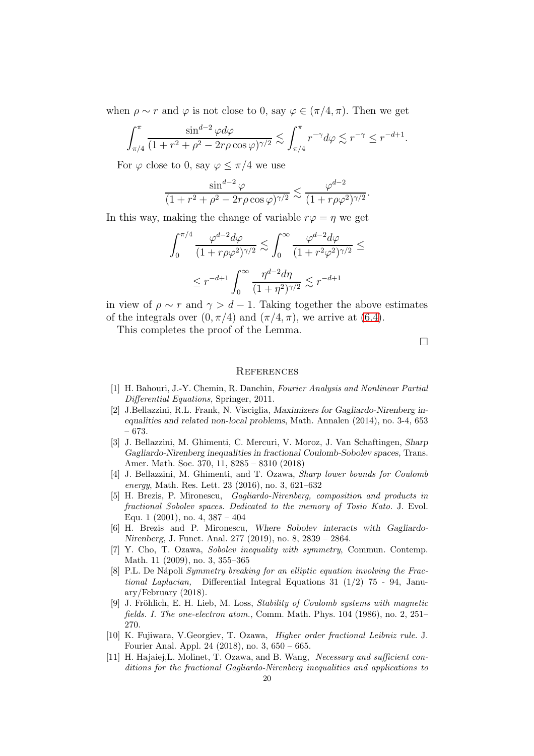when  $\rho \sim r$  and  $\varphi$  is not close to 0, say  $\varphi \in (\pi/4, \pi)$ . Then we get

$$
\int_{\pi/4}^{\pi} \frac{\sin^{d-2} \varphi d\varphi}{(1 + r^2 + \rho^2 - 2r\rho \cos \varphi)^{\gamma/2}} \lesssim \int_{\pi/4}^{\pi} r^{-\gamma} d\varphi \lesssim r^{-\gamma} \leq r^{-d+1}.
$$

For  $\varphi$  close to 0, say  $\varphi \leq \pi/4$  we use

$$
\frac{\sin^{d-2}\varphi}{(1+r^2+\rho^2-2r\rho\cos\varphi)^{\gamma/2}}\lesssim \frac{\varphi^{d-2}}{(1+r\rho\varphi^2)^{\gamma/2}}.
$$

In this way, making the change of variable  $r\varphi = \eta$  we get

$$
\int_0^{\pi/4} \frac{\varphi^{d-2} d\varphi}{(1+r\rho\varphi^2)^{\gamma/2}} \lesssim \int_0^\infty \frac{\varphi^{d-2} d\varphi}{(1+r^2\varphi^2)^{\gamma/2}} \le
$$
  

$$
\le r^{-d+1} \int_0^\infty \frac{\eta^{d-2} d\eta}{(1+\eta^2)^{\gamma/2}} \lesssim r^{-d+1}
$$

in view of  $\rho \sim r$  and  $\gamma > d - 1$ . Taking together the above estimates of the integrals over  $(0, \pi/4)$  and  $(\pi/4, \pi)$ , we arrive at  $(6.4)$ .

This completes the proof of the Lemma.

 $\Box$ 

#### **REFERENCES**

- <span id="page-19-3"></span>[1] H. Bahouri, J.-Y. Chemin, R. Danchin, Fourier Analysis and Nonlinear Partial Differential Equations, Springer, 2011.
- <span id="page-19-10"></span>[2] J.Bellazzini, R.L. Frank, N. Visciglia, Maximizers for Gagliardo-Nirenberg inequalities and related non-local problems, Math. Annalen (2014), no. 3-4, 653 – 673.
- <span id="page-19-5"></span>[3] J. Bellazzini, M. Ghimenti, C. Mercuri, V. Moroz, J. Van Schaftingen, Sharp Gagliardo-Nirenberg inequalities in fractional Coulomb-Sobolev spaces, Trans. Amer. Math. Soc. 370, 11, 8285 – 8310 (2018)
- <span id="page-19-4"></span>[4] J. Bellazzini, M. Ghimenti, and T. Ozawa, Sharp lower bounds for Coulomb energy, Math. Res. Lett. 23 (2016), no. 3, 621–632
- <span id="page-19-0"></span>[5] H. Brezis, P. Mironescu, Gagliardo-Nirenberg, composition and products in fractional Sobolev spaces. Dedicated to the memory of Tosio Kato. J. Evol. Equ. 1  $(2001)$ , no. 4,  $387 - 404$
- <span id="page-19-2"></span>[6] H. Brezis and P. Mironescu, Where Sobolev interacts with Gagliardo-Nirenberg, J. Funct. Anal. 277 (2019), no. 8, 2839 – 2864.
- <span id="page-19-6"></span>[7] Y. Cho, T. Ozawa, Sobolev inequality with symmetry, Commun. Contemp. Math. 11 (2009), no. 3, 355–365
- <span id="page-19-7"></span>[8] P.L. De Nápoli Symmetry breaking for an elliptic equation involving the Fractional Laplacian, Differential Integral Equations 31 (1/2) 75 - 94, January/February (2018).
- <span id="page-19-9"></span>[9] J. Fröhlich, E. H. Lieb, M. Loss, Stability of Coulomb systems with magnetic fields. I. The one-electron atom., Comm. Math. Phys. 104 (1986), no. 2, 251– 270.
- <span id="page-19-8"></span>[10] K. Fujiwara, V.Georgiev, T. Ozawa, Higher order fractional Leibniz rule. J. Fourier Anal. Appl. 24 (2018), no. 3, 650 – 665.
- <span id="page-19-1"></span>[11] H. Hajaiej,L. Molinet, T. Ozawa, and B. Wang, Necessary and sufficient conditions for the fractional Gagliardo-Nirenberg inequalities and applications to